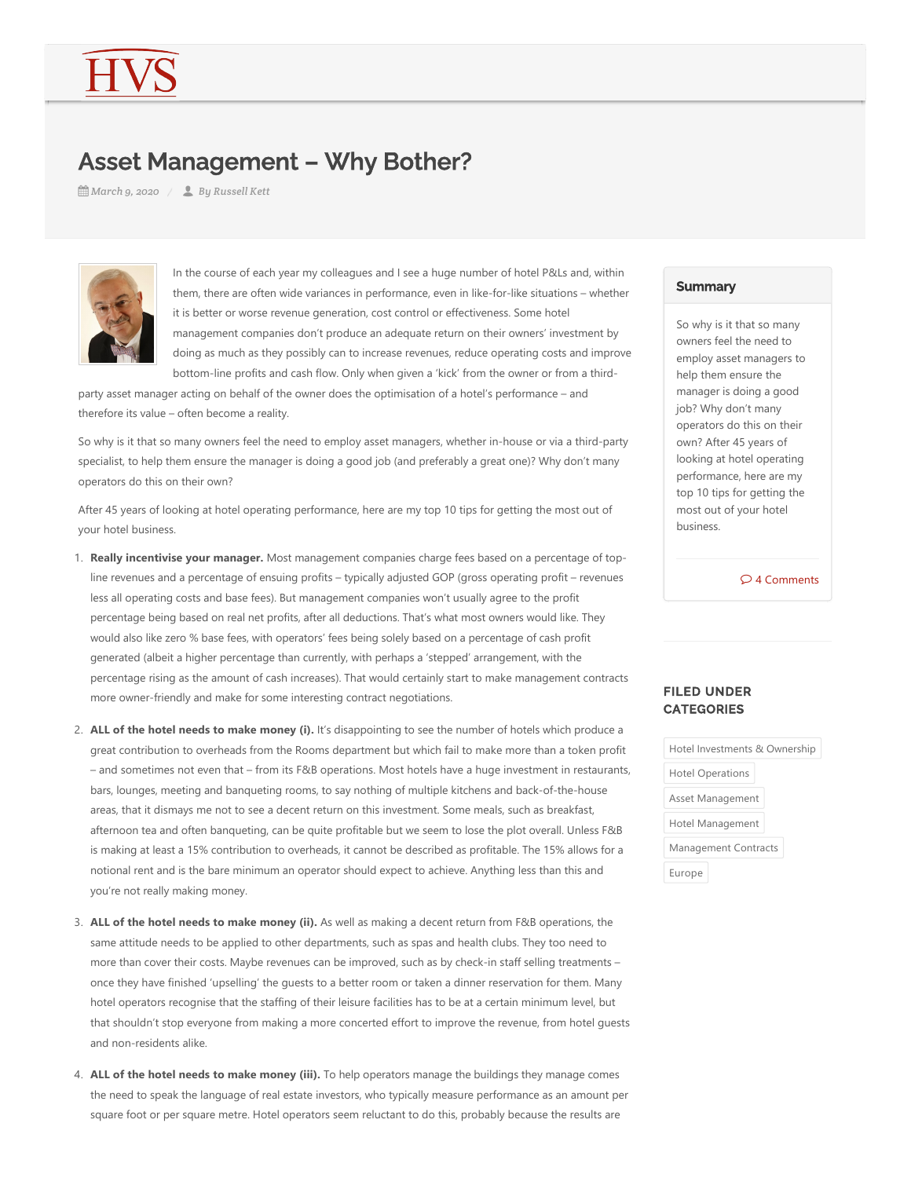## Asset Management – Why Bother?

*March 9, 2020 By Russell Kett*



In the course of each year my colleagues and I see a huge number of hotel P&Ls and, within them, there are often wide variances in performance, even in like‐for‐like situations – whether it is better or worse revenue generation, cost control or effectiveness. Some hotel management companies don't produce an adequate return on their owners' investment by doing as much as they possibly can to increase revenues, reduce operating costs and improve bottom-line profits and cash flow. Only when given a 'kick' from the owner or from a third-

party asset manager acting on behalf of the owner does the optimisation of a hotel's performance – and therefore its value – often become a reality.

So why is it that so many owners feel the need to employ asset managers, whether in-house or via a third-party specialist, to help them ensure the manager is doing a good job (and preferably a great one)? Why don't many operators do this on their own?

After 45 years of looking at hotel operating performance, here are my top 10 tips for getting the most out of your hotel business.

- 1. **Really incentivise your manager.** Most management companies charge fees based on a percentage of top‐ line revenues and a percentage of ensuing profits – typically adjusted GOP (gross operating profit – revenues less all operating costs and base fees). But management companies won't usually agree to the profit percentage being based on real net profits, after all deductions. That's what most owners would like. They would also like zero % base fees, with operators' fees being solely based on a percentage of cash profit generated (albeit a higher percentage than currently, with perhaps a 'stepped' arrangement, with the percentage rising as the amount of cash increases). That would certainly start to make management contracts more owner‐friendly and make for some interesting contract negotiations.
- 2. **ALL of the hotel needs to make money (i).** It's disappointing to see the number of hotels which produce a great contribution to overheads from the Rooms department but which fail to make more than a token profit – and sometimes not even that – from its F&B operations. Most hotels have a huge investment in restaurants, bars, lounges, meeting and banqueting rooms, to say nothing of multiple kitchens and back‐of‐the‐house areas, that it dismays me not to see a decent return on this investment. Some meals, such as breakfast, afternoon tea and often banqueting, can be quite profitable but we seem to lose the plot overall. Unless F&B is making at least a 15% contribution to overheads, it cannot be described as profitable. The 15% allows for a notional rent and is the bare minimum an operator should expect to achieve. Anything less than this and you're not really making money.
- 3. ALL of the hotel needs to make money (ii). As well as making a decent return from F&B operations, the same attitude needs to be applied to other departments, such as spas and health clubs. They too need to more than cover their costs. Maybe revenues can be improved, such as by check-in staff selling treatments – once they have finished 'upselling' the guests to a better room or taken a dinner reservation for them. Many hotel operators recognise that the staffing of their leisure facilities has to be at a certain minimum level, but that shouldn't stop everyone from making a more concerted effort to improve the revenue, from hotel guests and non‐residents alike.
- 4. ALL of the hotel needs to make money (iii). To help operators manage the buildings they manage comes the need to speak the language of real estate investors, who typically measure performance as an amount per square foot or per square metre. Hotel operators seem reluctant to do this, probably because the results are

## **Summary**

So why is it that so many owners feel the need to employ asset managers to help them ensure the manager is doing a good job? Why don't many operators do this on their own? After 45 years of looking at hotel operating performance, here are my top 10 tips for getting the most out of your hotel business.

4 Comments

## FILED UNDER **CATEGORIES**

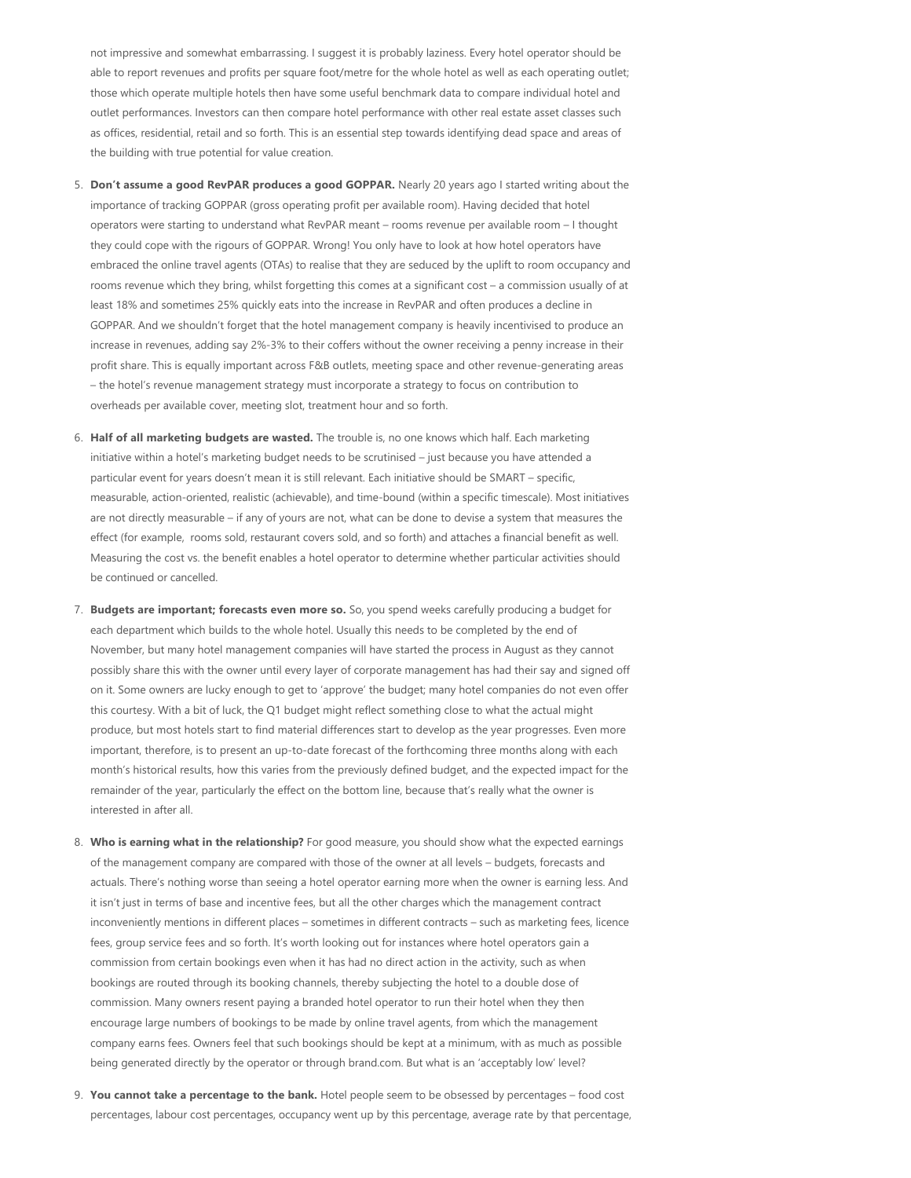not impressive and somewhat embarrassing. I suggest it is probably laziness. Every hotel operator should be able to report revenues and profits per square foot/metre for the whole hotel as well as each operating outlet; those which operate multiple hotels then have some useful benchmark data to compare individual hotel and outlet performances. Investors can then compare hotel performance with other real estate asset classes such as offices, residential, retail and so forth. This is an essential step towards identifying dead space and areas of the building with true potential for value creation.

- 5. **Don't assume a good RevPAR produces a good GOPPAR.** Nearly 20 years ago I started writing about the importance of tracking GOPPAR (gross operating profit per available room). Having decided that hotel operators were starting to understand what RevPAR meant – rooms revenue per available room – I thought they could cope with the rigours of GOPPAR. Wrong! You only have to look at how hotel operators have embraced the online travel agents (OTAs) to realise that they are seduced by the uplift to room occupancy and rooms revenue which they bring, whilst forgetting this comes at a significant cost – a commission usually of at least 18% and sometimes 25% quickly eats into the increase in RevPAR and often produces a decline in GOPPAR. And we shouldn't forget that the hotel management company is heavily incentivised to produce an increase in revenues, adding say 2%‐3% to their coffers without the owner receiving a penny increase in their profit share. This is equally important across F&B outlets, meeting space and other revenue‐generating areas – the hotel's revenue management strategy must incorporate a strategy to focus on contribution to overheads per available cover, meeting slot, treatment hour and so forth.
- 6. **Half of all marketing budgets are wasted.** The trouble is, no one knows which half. Each marketing initiative within a hotel's marketing budget needs to be scrutinised – just because you have attended a particular event for years doesn't mean it is still relevant. Each initiative should be SMART – specific, measurable, action-oriented, realistic (achievable), and time-bound (within a specific timescale). Most initiatives are not directly measurable – if any of yours are not, what can be done to devise a system that measures the effect (for example, rooms sold, restaurant covers sold, and so forth) and attaches a financial benefit as well. Measuring the cost vs. the benefit enables a hotel operator to determine whether particular activities should be continued or cancelled.
- 7. **Budgets are important; forecasts even more so.** So, you spend weeks carefully producing a budget for each department which builds to the whole hotel. Usually this needs to be completed by the end of November, but many hotel management companies will have started the process in August as they cannot possibly share this with the owner until every layer of corporate management has had their say and signed off on it. Some owners are lucky enough to get to 'approve' the budget; many hotel companies do not even offer this courtesy. With a bit of luck, the Q1 budget might reflect something close to what the actual might produce, but most hotels start to find material differences start to develop as the year progresses. Even more important, therefore, is to present an up-to-date forecast of the forthcoming three months along with each month's historical results, how this varies from the previously defined budget, and the expected impact for the remainder of the year, particularly the effect on the bottom line, because that's really what the owner is interested in after all.
- 8. **Who is earning what in the relationship?** For good measure, you should show what the expected earnings of the management company are compared with those of the owner at all levels – budgets, forecasts and actuals. There's nothing worse than seeing a hotel operator earning more when the owner is earning less. And it isn't just in terms of base and incentive fees, but all the other charges which the management contract inconveniently mentions in different places – sometimes in different contracts – such as marketing fees, licence fees, group service fees and so forth. It's worth looking out for instances where hotel operators gain a commission from certain bookings even when it has had no direct action in the activity, such as when bookings are routed through its booking channels, thereby subjecting the hotel to a double dose of commission. Many owners resent paying a branded hotel operator to run their hotel when they then encourage large numbers of bookings to be made by online travel agents, from which the management company earns fees. Owners feel that such bookings should be kept at a minimum, with as much as possible being generated directly by the operator or through brand.com. But what is an 'acceptably low' level?
- 9. **You cannot take a percentage to the bank.** Hotel people seem to be obsessed by percentages food cost percentages, labour cost percentages, occupancy went up by this percentage, average rate by that percentage,